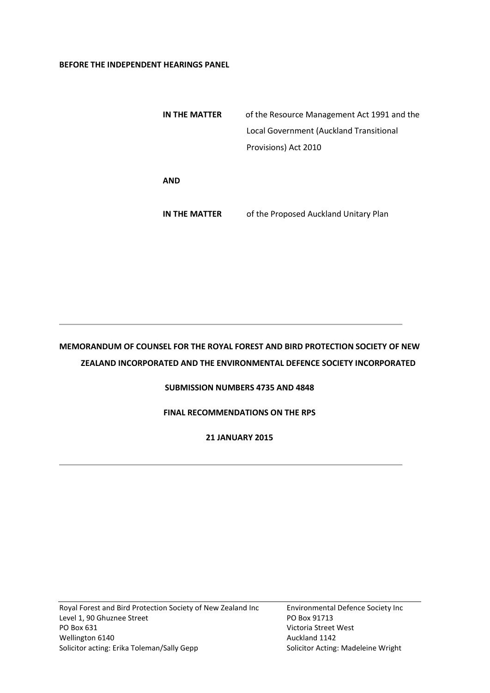#### **BEFORE THE INDEPENDENT HEARINGS PANEL**

| IN THE MATTER | of the Resource Management Act 1991 and the |
|---------------|---------------------------------------------|
|               | Local Government (Auckland Transitional     |
|               | Provisions) Act 2010                        |
|               |                                             |
| AND           |                                             |
|               |                                             |

**IN THE MATTER** of the Proposed Auckland Unitary Plan

# **MEMORANDUM OF COUNSEL FOR THE ROYAL FOREST AND BIRD PROTECTION SOCIETY OF NEW ZEALAND INCORPORATED AND THE ENVIRONMENTAL DEFENCE SOCIETY INCORPORATED**

## **SUBMISSION NUMBERS 4735 AND 4848**

## **FINAL RECOMMENDATIONS ON THE RPS**

# **21 JANUARY 2015**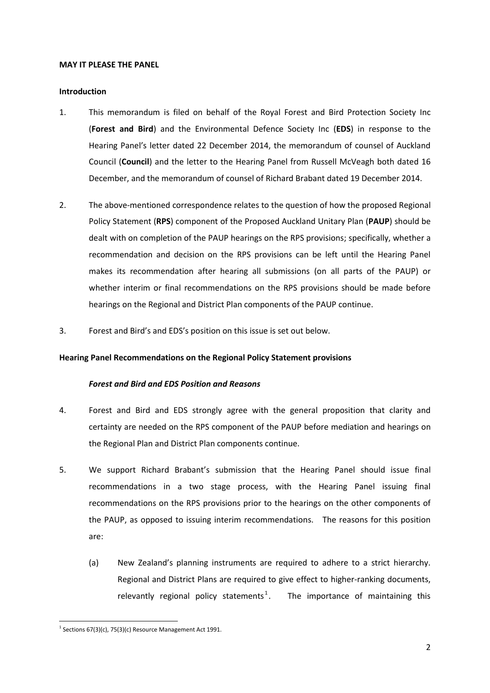#### **MAY IT PLEASE THE PANEL**

#### **Introduction**

- 1. This memorandum is filed on behalf of the Royal Forest and Bird Protection Society Inc (**Forest and Bird**) and the Environmental Defence Society Inc (**EDS**) in response to the Hearing Panel's letter dated 22 December 2014, the memorandum of counsel of Auckland Council (**Council**) and the letter to the Hearing Panel from Russell McVeagh both dated 16 December, and the memorandum of counsel of Richard Brabant dated 19 December 2014.
- 2. The above-mentioned correspondence relates to the question of how the proposed Regional Policy Statement (**RPS**) component of the Proposed Auckland Unitary Plan (**PAUP**) should be dealt with on completion of the PAUP hearings on the RPS provisions; specifically, whether a recommendation and decision on the RPS provisions can be left until the Hearing Panel makes its recommendation after hearing all submissions (on all parts of the PAUP) or whether interim or final recommendations on the RPS provisions should be made before hearings on the Regional and District Plan components of the PAUP continue.
- 3. Forest and Bird's and EDS's position on this issue is set out below.

#### **Hearing Panel Recommendations on the Regional Policy Statement provisions**

#### *Forest and Bird and EDS Position and Reasons*

- 4. Forest and Bird and EDS strongly agree with the general proposition that clarity and certainty are needed on the RPS component of the PAUP before mediation and hearings on the Regional Plan and District Plan components continue.
- 5. We support Richard Brabant's submission that the Hearing Panel should issue final recommendations in a two stage process, with the Hearing Panel issuing final recommendations on the RPS provisions prior to the hearings on the other components of the PAUP, as opposed to issuing interim recommendations. The reasons for this position are:
	- (a) New Zealand's planning instruments are required to adhere to a strict hierarchy. Regional and District Plans are required to give effect to higher-ranking documents, relevantly regional policy statements<sup>1</sup>. The importance of maintaining this

 $\overline{a}$ <sup>1</sup> Sections 67(3)(c), 75(3)(c) Resource Management Act 1991.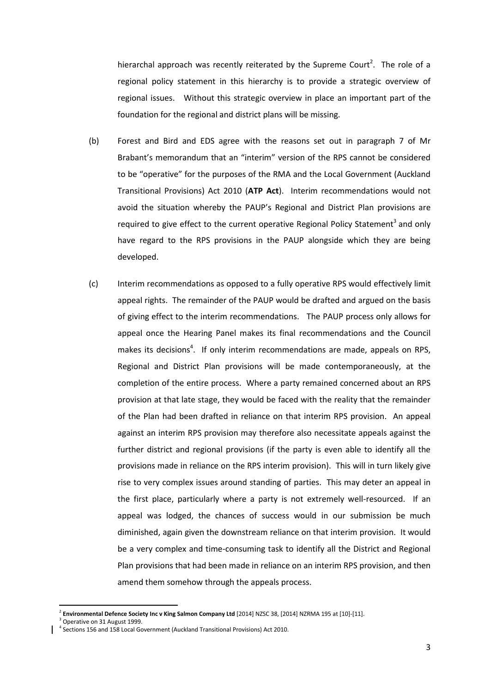hierarchal approach was recently reiterated by the Supreme Court<sup>2</sup>. The role of a regional policy statement in this hierarchy is to provide a strategic overview of regional issues. Without this strategic overview in place an important part of the foundation for the regional and district plans will be missing.

- (b) Forest and Bird and EDS agree with the reasons set out in paragraph 7 of Mr Brabant's memorandum that an "interim" version of the RPS cannot be considered to be "operative" for the purposes of the RMA and the Local Government (Auckland Transitional Provisions) Act 2010 (**ATP Act**). Interim recommendations would not avoid the situation whereby the PAUP's Regional and District Plan provisions are required to give effect to the current operative Regional Policy Statement<sup>3</sup> and only have regard to the RPS provisions in the PAUP alongside which they are being developed.
- (c) Interim recommendations as opposed to a fully operative RPS would effectively limit appeal rights. The remainder of the PAUP would be drafted and argued on the basis of giving effect to the interim recommendations. The PAUP process only allows for appeal once the Hearing Panel makes its final recommendations and the Council makes its decisions<sup>4</sup>. If only interim recommendations are made, appeals on RPS, Regional and District Plan provisions will be made contemporaneously, at the completion of the entire process. Where a party remained concerned about an RPS provision at that late stage, they would be faced with the reality that the remainder of the Plan had been drafted in reliance on that interim RPS provision. An appeal against an interim RPS provision may therefore also necessitate appeals against the further district and regional provisions (if the party is even able to identify all the provisions made in reliance on the RPS interim provision). This will in turn likely give rise to very complex issues around standing of parties. This may deter an appeal in the first place, particularly where a party is not extremely well-resourced. If an appeal was lodged, the chances of success would in our submission be much diminished, again given the downstream reliance on that interim provision. It would be a very complex and time-consuming task to identify all the District and Regional Plan provisions that had been made in reliance on an interim RPS provision, and then amend them somehow through the appeals process.

1

<sup>2</sup> **Environmental Defence Society Inc v King Salmon Company Ltd** [2014] NZSC 38, [2014] NZRMA 195 at [10]-[11].

<sup>&</sup>lt;sup>3</sup> Operative on 31 August 1999.

<sup>4</sup> Sections 156 and 158 Local Government (Auckland Transitional Provisions) Act 2010.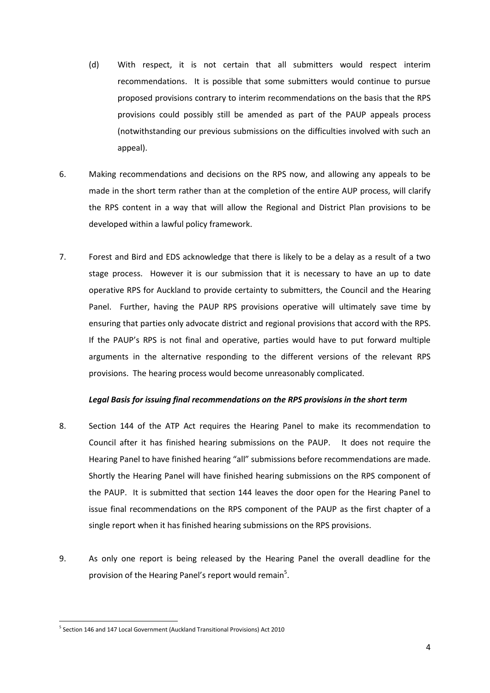- (d) With respect, it is not certain that all submitters would respect interim recommendations. It is possible that some submitters would continue to pursue proposed provisions contrary to interim recommendations on the basis that the RPS provisions could possibly still be amended as part of the PAUP appeals process (notwithstanding our previous submissions on the difficulties involved with such an appeal).
- 6. Making recommendations and decisions on the RPS now, and allowing any appeals to be made in the short term rather than at the completion of the entire AUP process, will clarify the RPS content in a way that will allow the Regional and District Plan provisions to be developed within a lawful policy framework.
- 7. Forest and Bird and EDS acknowledge that there is likely to be a delay as a result of a two stage process. However it is our submission that it is necessary to have an up to date operative RPS for Auckland to provide certainty to submitters, the Council and the Hearing Panel. Further, having the PAUP RPS provisions operative will ultimately save time by ensuring that parties only advocate district and regional provisions that accord with the RPS. If the PAUP's RPS is not final and operative, parties would have to put forward multiple arguments in the alternative responding to the different versions of the relevant RPS provisions. The hearing process would become unreasonably complicated.

#### *Legal Basis for issuing final recommendations on the RPS provisions in the short term*

- 8. Section 144 of the ATP Act requires the Hearing Panel to make its recommendation to Council after it has finished hearing submissions on the PAUP. It does not require the Hearing Panel to have finished hearing "all" submissions before recommendations are made. Shortly the Hearing Panel will have finished hearing submissions on the RPS component of the PAUP. It is submitted that section 144 leaves the door open for the Hearing Panel to issue final recommendations on the RPS component of the PAUP as the first chapter of a single report when it has finished hearing submissions on the RPS provisions.
- 9. As only one report is being released by the Hearing Panel the overall deadline for the provision of the Hearing Panel's report would remain<sup>5</sup>.

 $\overline{a}$ 

<sup>&</sup>lt;sup>5</sup> Section 146 and 147 Local Government (Auckland Transitional Provisions) Act 2010